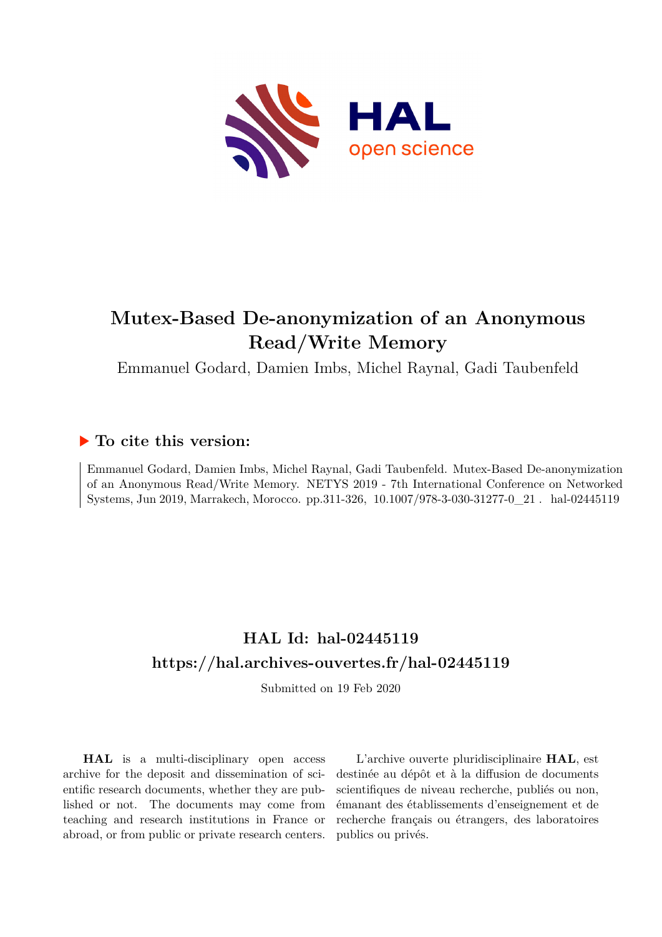

# **Mutex-Based De-anonymization of an Anonymous Read/Write Memory**

Emmanuel Godard, Damien Imbs, Michel Raynal, Gadi Taubenfeld

# **To cite this version:**

Emmanuel Godard, Damien Imbs, Michel Raynal, Gadi Taubenfeld. Mutex-Based De-anonymization of an Anonymous Read/Write Memory. NETYS 2019 - 7th International Conference on Networked Systems, Jun 2019, Marrakech, Morocco. pp.311-326, 10.1007/978-3-030-31277-0\_21. hal-02445119

# **HAL Id: hal-02445119 <https://hal.archives-ouvertes.fr/hal-02445119>**

Submitted on 19 Feb 2020

**HAL** is a multi-disciplinary open access archive for the deposit and dissemination of scientific research documents, whether they are published or not. The documents may come from teaching and research institutions in France or abroad, or from public or private research centers.

L'archive ouverte pluridisciplinaire **HAL**, est destinée au dépôt et à la diffusion de documents scientifiques de niveau recherche, publiés ou non, émanant des établissements d'enseignement et de recherche français ou étrangers, des laboratoires publics ou privés.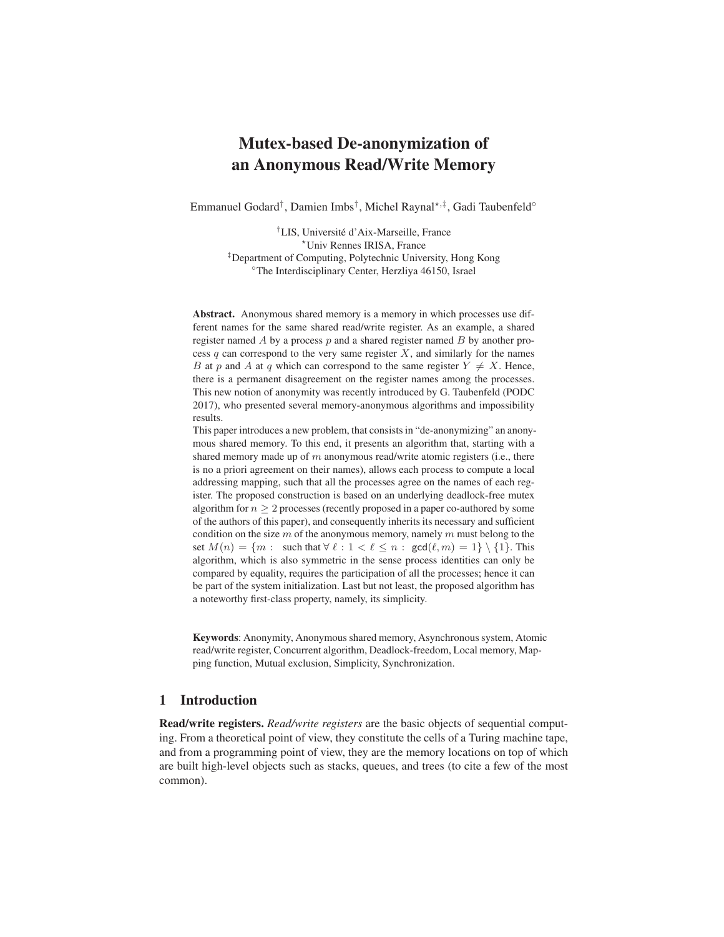# Mutex-based De-anonymization of an Anonymous Read/Write Memory

Emmanuel Godard<sup>†</sup>, Damien Imbs<sup>†</sup>, Michel Raynal\*<sup>,‡</sup>, Gadi Taubenfeld°

†LIS, Université d'Aix-Marseille, France <sup>⋆</sup>Univ Rennes IRISA, France ‡Department of Computing, Polytechnic University, Hong Kong ◦The Interdisciplinary Center, Herzliya 46150, Israel

Abstract. Anonymous shared memory is a memory in which processes use different names for the same shared read/write register. As an example, a shared register named A by a process p and a shared register named B by another process q can correspond to the very same register  $X$ , and similarly for the names B at p and A at q which can correspond to the same register  $Y \neq X$ . Hence, there is a permanent disagreement on the register names among the processes. This new notion of anonymity was recently introduced by G. Taubenfeld (PODC 2017), who presented several memory-anonymous algorithms and impossibility results.

This paper introduces a new problem, that consists in "de-anonymizing" an anonymous shared memory. To this end, it presents an algorithm that, starting with a shared memory made up of  $m$  anonymous read/write atomic registers (i.e., there is no a priori agreement on their names), allows each process to compute a local addressing mapping, such that all the processes agree on the names of each register. The proposed construction is based on an underlying deadlock-free mutex algorithm for  $n \geq 2$  processes (recently proposed in a paper co-authored by some of the authors of this paper), and consequently inherits its necessary and sufficient condition on the size  $m$  of the anonymous memory, namely  $m$  must belong to the set  $M(n) = \{m : \text{ such that } \forall \ell : 1 < \ell \leq n : \text{ gcd}(\ell, m) = 1\} \setminus \{1\}.$  This algorithm, which is also symmetric in the sense process identities can only be compared by equality, requires the participation of all the processes; hence it can be part of the system initialization. Last but not least, the proposed algorithm has a noteworthy first-class property, namely, its simplicity.

Keywords: Anonymity, Anonymous shared memory, Asynchronous system, Atomic read/write register, Concurrent algorithm, Deadlock-freedom, Local memory, Mapping function, Mutual exclusion, Simplicity, Synchronization.

### 1 Introduction

Read/write registers. *Read/write registers* are the basic objects of sequential computing. From a theoretical point of view, they constitute the cells of a Turing machine tape, and from a programming point of view, they are the memory locations on top of which are built high-level objects such as stacks, queues, and trees (to cite a few of the most common).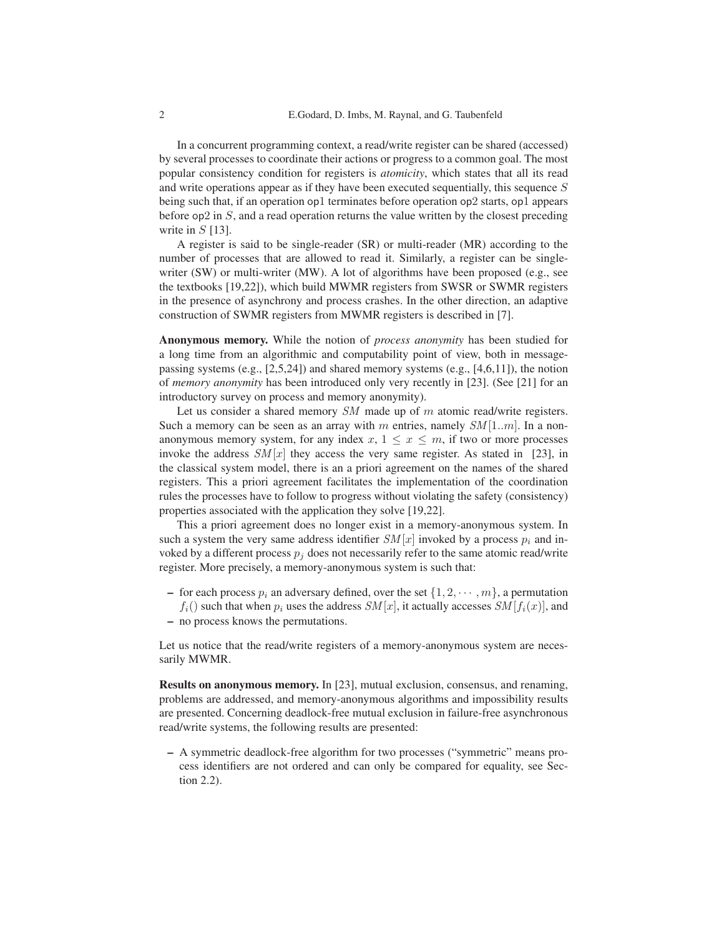In a concurrent programming context, a read/write register can be shared (accessed) by several processes to coordinate their actions or progress to a common goal. The most popular consistency condition for registers is *atomicity*, which states that all its read and write operations appear as if they have been executed sequentially, this sequence S being such that, if an operation op1 terminates before operation op2 starts, op1 appears before op2 in S, and a read operation returns the value written by the closest preceding write in  $S$  [13].

A register is said to be single-reader (SR) or multi-reader (MR) according to the number of processes that are allowed to read it. Similarly, a register can be singlewriter (SW) or multi-writer (MW). A lot of algorithms have been proposed (e.g., see the textbooks [19,22]), which build MWMR registers from SWSR or SWMR registers in the presence of asynchrony and process crashes. In the other direction, an adaptive construction of SWMR registers from MWMR registers is described in [7].

Anonymous memory. While the notion of *process anonymity* has been studied for a long time from an algorithmic and computability point of view, both in messagepassing systems (e.g., [2,5,24]) and shared memory systems (e.g., [4,6,11]), the notion of *memory anonymity* has been introduced only very recently in [23]. (See [21] for an introductory survey on process and memory anonymity).

Let us consider a shared memory SM made up of m atomic read/write registers. Such a memory can be seen as an array with m entries, namely  $SM[1..m]$ . In a nonanonymous memory system, for any index  $x, 1 \leq x \leq m$ , if two or more processes invoke the address  $SM[x]$  they access the very same register. As stated in [23], in the classical system model, there is an a priori agreement on the names of the shared registers. This a priori agreement facilitates the implementation of the coordination rules the processes have to follow to progress without violating the safety (consistency) properties associated with the application they solve [19,22].

This a priori agreement does no longer exist in a memory-anonymous system. In such a system the very same address identifier  $SM[x]$  invoked by a process  $p_i$  and invoked by a different process  $p_i$  does not necessarily refer to the same atomic read/write register. More precisely, a memory-anonymous system is such that:

- for each process  $p_i$  an adversary defined, over the set  $\{1, 2, \cdots, m\}$ , a permutation  $f_i()$  such that when  $p_i$  uses the address  $SM[x]$ , it actually accesses  $SM[f_i(x)]$ , and
- no process knows the permutations.

Let us notice that the read/write registers of a memory-anonymous system are necessarily MWMR.

Results on anonymous memory. In [23], mutual exclusion, consensus, and renaming, problems are addressed, and memory-anonymous algorithms and impossibility results are presented. Concerning deadlock-free mutual exclusion in failure-free asynchronous read/write systems, the following results are presented:

– A symmetric deadlock-free algorithm for two processes ("symmetric" means process identifiers are not ordered and can only be compared for equality, see Section 2.2).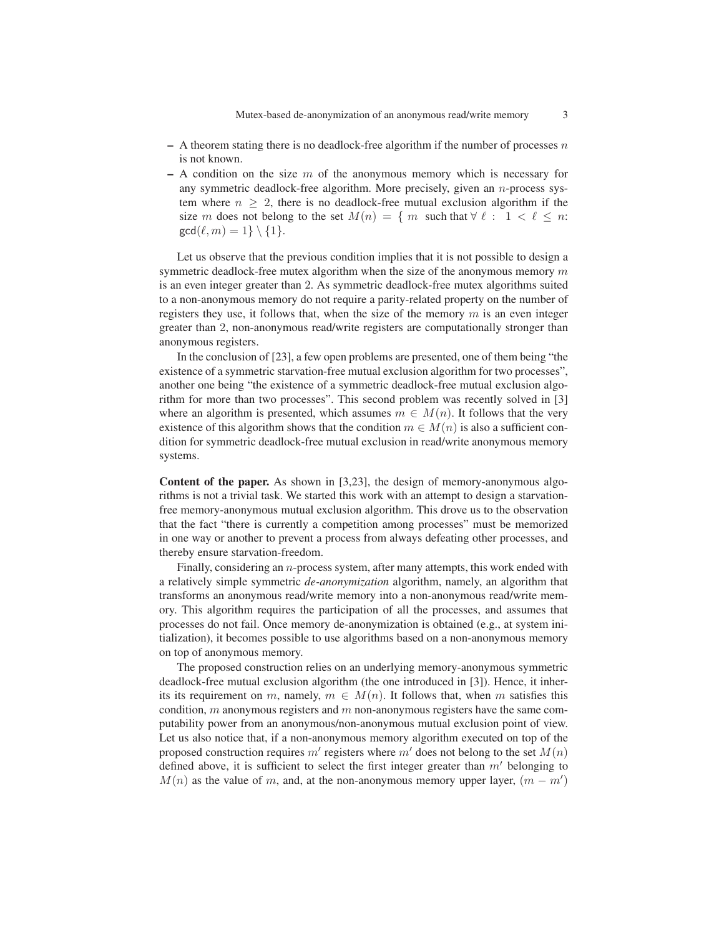- $-$  A theorem stating there is no deadlock-free algorithm if the number of processes n is not known.
- $-$  A condition on the size m of the anonymous memory which is necessary for any symmetric deadlock-free algorithm. More precisely, given an n-process system where  $n \geq 2$ , there is no deadlock-free mutual exclusion algorithm if the size m does not belong to the set  $M(n) = \{ m \text{ such that } \forall \ell : 1 < \ell \leq n:$  $gcd(\ell, m) = 1 \} \setminus \{1\}.$

Let us observe that the previous condition implies that it is not possible to design a symmetric deadlock-free mutex algorithm when the size of the anonymous memory  $m$ is an even integer greater than 2. As symmetric deadlock-free mutex algorithms suited to a non-anonymous memory do not require a parity-related property on the number of registers they use, it follows that, when the size of the memory  $m$  is an even integer greater than 2, non-anonymous read/write registers are computationally stronger than anonymous registers.

In the conclusion of [23], a few open problems are presented, one of them being "the existence of a symmetric starvation-free mutual exclusion algorithm for two processes", another one being "the existence of a symmetric deadlock-free mutual exclusion algorithm for more than two processes". This second problem was recently solved in [3] where an algorithm is presented, which assumes  $m \in M(n)$ . It follows that the very existence of this algorithm shows that the condition  $m \in M(n)$  is also a sufficient condition for symmetric deadlock-free mutual exclusion in read/write anonymous memory systems.

Content of the paper. As shown in [3,23], the design of memory-anonymous algorithms is not a trivial task. We started this work with an attempt to design a starvationfree memory-anonymous mutual exclusion algorithm. This drove us to the observation that the fact "there is currently a competition among processes" must be memorized in one way or another to prevent a process from always defeating other processes, and thereby ensure starvation-freedom.

Finally, considering an n-process system, after many attempts, this work ended with a relatively simple symmetric *de-anonymization* algorithm, namely, an algorithm that transforms an anonymous read/write memory into a non-anonymous read/write memory. This algorithm requires the participation of all the processes, and assumes that processes do not fail. Once memory de-anonymization is obtained (e.g., at system initialization), it becomes possible to use algorithms based on a non-anonymous memory on top of anonymous memory.

The proposed construction relies on an underlying memory-anonymous symmetric deadlock-free mutual exclusion algorithm (the one introduced in [3]). Hence, it inherits its requirement on m, namely,  $m \in M(n)$ . It follows that, when m satisfies this condition,  $m$  anonymous registers and  $m$  non-anonymous registers have the same computability power from an anonymous/non-anonymous mutual exclusion point of view. Let us also notice that, if a non-anonymous memory algorithm executed on top of the proposed construction requires  $m'$  registers where  $m'$  does not belong to the set  $M(n)$ defined above, it is sufficient to select the first integer greater than  $m'$  belonging to  $M(n)$  as the value of m, and, at the non-anonymous memory upper layer,  $(m - m')$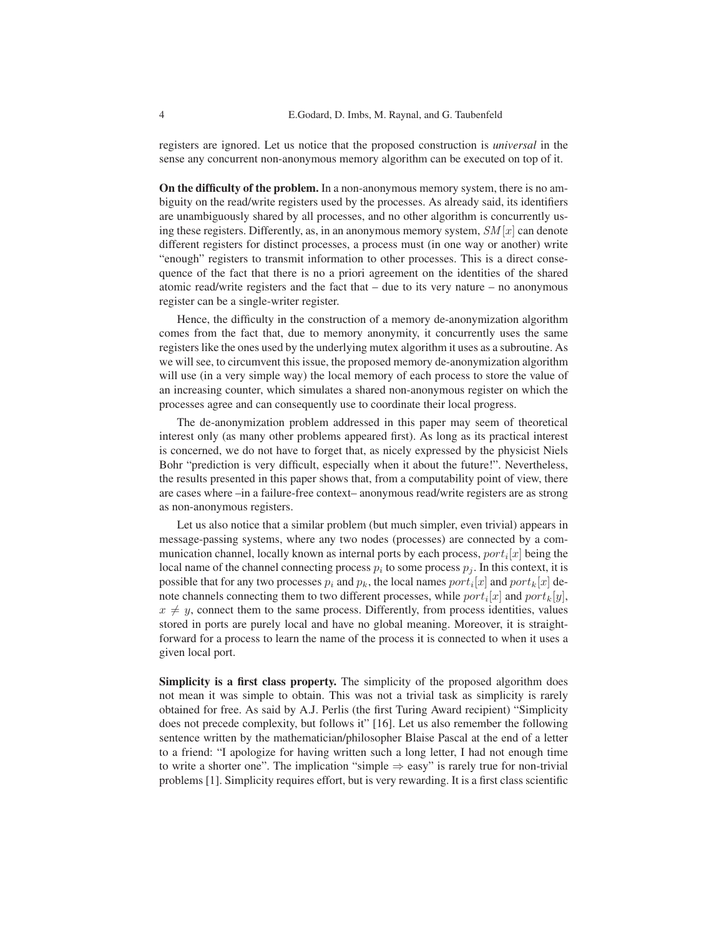registers are ignored. Let us notice that the proposed construction is *universal* in the sense any concurrent non-anonymous memory algorithm can be executed on top of it.

On the difficulty of the problem. In a non-anonymous memory system, there is no ambiguity on the read/write registers used by the processes. As already said, its identifiers are unambiguously shared by all processes, and no other algorithm is concurrently using these registers. Differently, as, in an anonymous memory system,  $SM[x]$  can denote different registers for distinct processes, a process must (in one way or another) write "enough" registers to transmit information to other processes. This is a direct consequence of the fact that there is no a priori agreement on the identities of the shared atomic read/write registers and the fact that – due to its very nature – no anonymous register can be a single-writer register.

Hence, the difficulty in the construction of a memory de-anonymization algorithm comes from the fact that, due to memory anonymity, it concurrently uses the same registers like the ones used by the underlying mutex algorithm it uses as a subroutine. As we will see, to circumvent this issue, the proposed memory de-anonymization algorithm will use (in a very simple way) the local memory of each process to store the value of an increasing counter, which simulates a shared non-anonymous register on which the processes agree and can consequently use to coordinate their local progress.

The de-anonymization problem addressed in this paper may seem of theoretical interest only (as many other problems appeared first). As long as its practical interest is concerned, we do not have to forget that, as nicely expressed by the physicist Niels Bohr "prediction is very difficult, especially when it about the future!". Nevertheless, the results presented in this paper shows that, from a computability point of view, there are cases where –in a failure-free context– anonymous read/write registers are as strong as non-anonymous registers.

Let us also notice that a similar problem (but much simpler, even trivial) appears in message-passing systems, where any two nodes (processes) are connected by a communication channel, locally known as internal ports by each process,  $port_i[x]$  being the local name of the channel connecting process  $p_i$  to some process  $p_j$ . In this context, it is possible that for any two processes  $p_i$  and  $p_k$ , the local names  $port_i[x]$  and  $port_k[x]$  denote channels connecting them to two different processes, while  $port_i[x]$  and  $port_k[y]$ ,  $x \neq y$ , connect them to the same process. Differently, from process identities, values stored in ports are purely local and have no global meaning. Moreover, it is straightforward for a process to learn the name of the process it is connected to when it uses a given local port.

Simplicity is a first class property. The simplicity of the proposed algorithm does not mean it was simple to obtain. This was not a trivial task as simplicity is rarely obtained for free. As said by A.J. Perlis (the first Turing Award recipient) "Simplicity does not precede complexity, but follows it" [16]. Let us also remember the following sentence written by the mathematician/philosopher Blaise Pascal at the end of a letter to a friend: "I apologize for having written such a long letter, I had not enough time to write a shorter one". The implication "simple  $\Rightarrow$  easy" is rarely true for non-trivial problems [1]. Simplicity requires effort, but is very rewarding. It is a first class scientific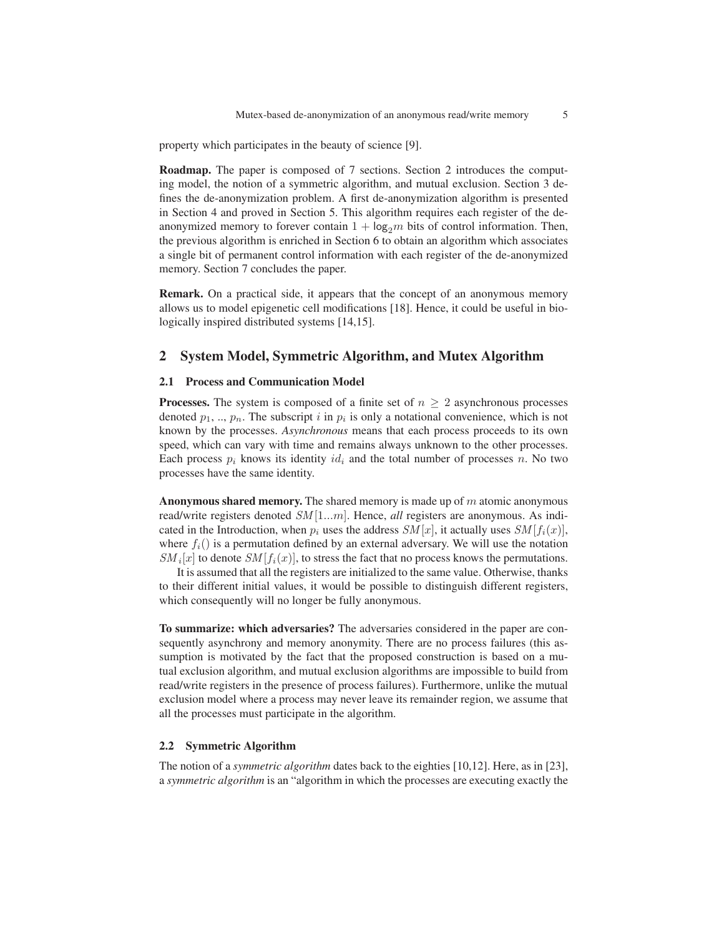property which participates in the beauty of science [9].

Roadmap. The paper is composed of 7 sections. Section 2 introduces the computing model, the notion of a symmetric algorithm, and mutual exclusion. Section 3 defines the de-anonymization problem. A first de-anonymization algorithm is presented in Section 4 and proved in Section 5. This algorithm requires each register of the deanonymized memory to forever contain  $1 + \log_2 m$  bits of control information. Then, the previous algorithm is enriched in Section 6 to obtain an algorithm which associates a single bit of permanent control information with each register of the de-anonymized memory. Section 7 concludes the paper.

Remark. On a practical side, it appears that the concept of an anonymous memory allows us to model epigenetic cell modifications [18]. Hence, it could be useful in biologically inspired distributed systems [14,15].

# 2 System Model, Symmetric Algorithm, and Mutex Algorithm

#### 2.1 Process and Communication Model

**Processes.** The system is composed of a finite set of  $n \geq 2$  asynchronous processes denoted  $p_1, ..., p_n$ . The subscript i in  $p_i$  is only a notational convenience, which is not known by the processes. *Asynchronous* means that each process proceeds to its own speed, which can vary with time and remains always unknown to the other processes. Each process  $p_i$  knows its identity  $id_i$  and the total number of processes n. No two processes have the same identity.

Anonymous shared memory. The shared memory is made up of  $m$  atomic anonymous read/write registers denoted SM [1...m]. Hence, *all* registers are anonymous. As indicated in the Introduction, when  $p_i$  uses the address  $SM[x]$ , it actually uses  $SM[f_i(x)]$ , where  $f_i()$  is a permutation defined by an external adversary. We will use the notation  $SM_i[x]$  to denote  $SM[f_i(x)]$ , to stress the fact that no process knows the permutations.

It is assumed that all the registers are initialized to the same value. Otherwise, thanks to their different initial values, it would be possible to distinguish different registers, which consequently will no longer be fully anonymous.

To summarize: which adversaries? The adversaries considered in the paper are consequently asynchrony and memory anonymity. There are no process failures (this assumption is motivated by the fact that the proposed construction is based on a mutual exclusion algorithm, and mutual exclusion algorithms are impossible to build from read/write registers in the presence of process failures). Furthermore, unlike the mutual exclusion model where a process may never leave its remainder region, we assume that all the processes must participate in the algorithm.

#### 2.2 Symmetric Algorithm

The notion of a *symmetric algorithm* dates back to the eighties [10,12]. Here, as in [23], a *symmetric algorithm* is an "algorithm in which the processes are executing exactly the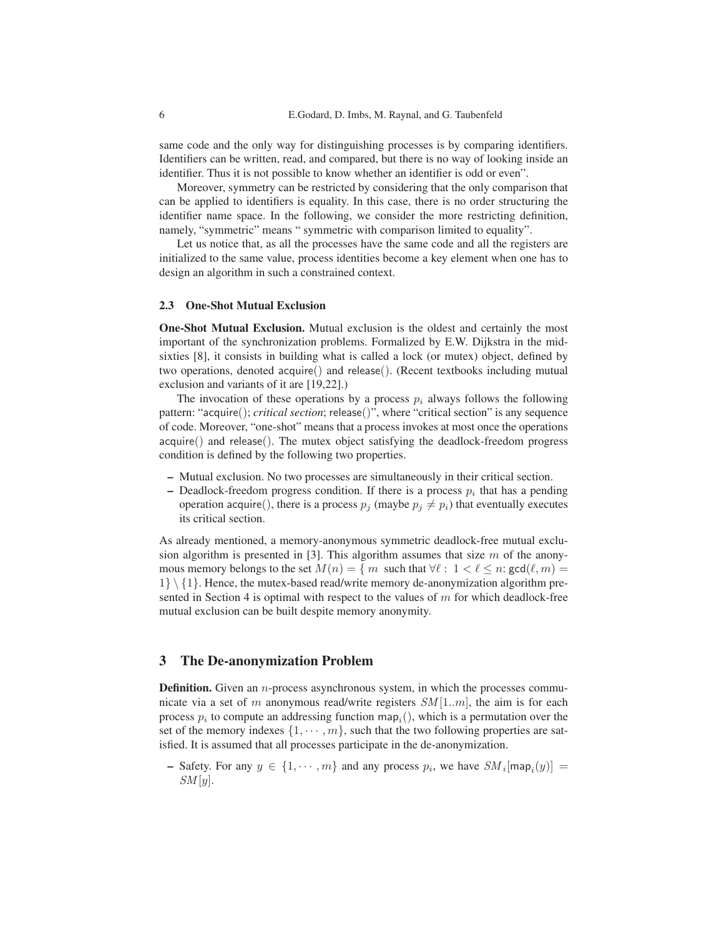same code and the only way for distinguishing processes is by comparing identifiers. Identifiers can be written, read, and compared, but there is no way of looking inside an identifier. Thus it is not possible to know whether an identifier is odd or even".

Moreover, symmetry can be restricted by considering that the only comparison that can be applied to identifiers is equality. In this case, there is no order structuring the identifier name space. In the following, we consider the more restricting definition, namely, "symmetric" means " symmetric with comparison limited to equality".

Let us notice that, as all the processes have the same code and all the registers are initialized to the same value, process identities become a key element when one has to design an algorithm in such a constrained context.

#### 2.3 One-Shot Mutual Exclusion

One-Shot Mutual Exclusion. Mutual exclusion is the oldest and certainly the most important of the synchronization problems. Formalized by E.W. Dijkstra in the midsixties [8], it consists in building what is called a lock (or mutex) object, defined by two operations, denoted acquire() and release(). (Recent textbooks including mutual exclusion and variants of it are [19,22].)

The invocation of these operations by a process  $p_i$  always follows the following pattern: "acquire(); *critical section*; release()", where "critical section" is any sequence of code. Moreover, "one-shot" means that a process invokes at most once the operations acquire() and release(). The mutex object satisfying the deadlock-freedom progress condition is defined by the following two properties.

- Mutual exclusion. No two processes are simultaneously in their critical section.
- Deadlock-freedom progress condition. If there is a process  $p_i$  that has a pending operation acquire(), there is a process  $p_i$  (maybe  $p_i \neq p_i$ ) that eventually executes its critical section.

As already mentioned, a memory-anonymous symmetric deadlock-free mutual exclusion algorithm is presented in [3]. This algorithm assumes that size  $m$  of the anonymous memory belongs to the set  $M(n) = \{ m \text{ such that } \forall \ell : 1 < \ell \leq n : \gcd(\ell, m) = 1 \}$  $1\} \setminus \{1\}$ . Hence, the mutex-based read/write memory de-anonymization algorithm presented in Section 4 is optimal with respect to the values of  $m$  for which deadlock-free mutual exclusion can be built despite memory anonymity.

#### 3 The De-anonymization Problem

**Definition.** Given an  $n$ -process asynchronous system, in which the processes communicate via a set of m anonymous read/write registers  $SM[1..m]$ , the aim is for each process  $p_i$  to compute an addressing function map<sub>i</sub>(), which is a permutation over the set of the memory indexes  $\{1, \dots, m\}$ , such that the two following properties are satisfied. It is assumed that all processes participate in the de-anonymization.

- Safety. For any  $y \in \{1, \dots, m\}$  and any process  $p_i$ , we have  $SM_i$ [map<sub>i</sub> $(y)$ ] =  $SM[y]$ .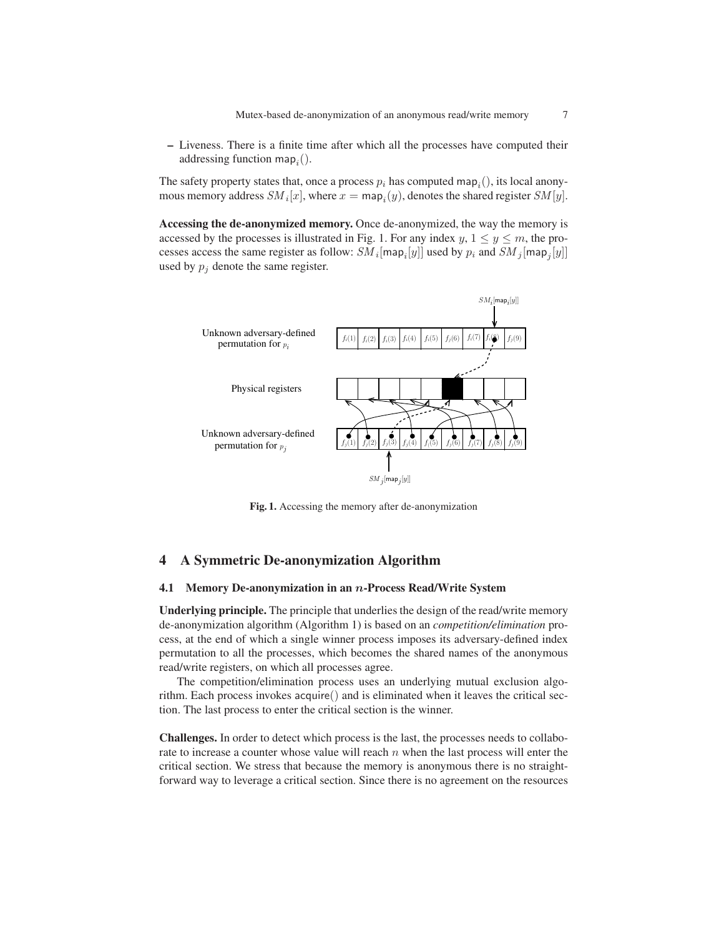– Liveness. There is a finite time after which all the processes have computed their addressing function map<sub>i</sub>().

The safety property states that, once a process  $p_i$  has computed map<sub>i</sub>(), its local anonymous memory address  $SM_i[x]$ , where  $x = \text{map}_i(y)$ , denotes the shared register  $SM[y]$ .

Accessing the de-anonymized memory. Once de-anonymized, the way the memory is accessed by the processes is illustrated in Fig. 1. For any index  $y, 1 \le y \le m$ , the processes access the same register as follow:  $SM_i$  [map<sub>i</sub>[y]] used by  $p_i$  and  $SM_j$  [map<sub>j</sub>[y]] used by  $p_j$  denote the same register.



Fig. 1. Accessing the memory after de-anonymization

# 4 A Symmetric De-anonymization Algorithm

#### 4.1 Memory De-anonymization in an  $n$ -Process Read/Write System

Underlying principle. The principle that underlies the design of the read/write memory de-anonymization algorithm (Algorithm 1) is based on an *competition/elimination* process, at the end of which a single winner process imposes its adversary-defined index permutation to all the processes, which becomes the shared names of the anonymous read/write registers, on which all processes agree.

The competition/elimination process uses an underlying mutual exclusion algorithm. Each process invokes acquire() and is eliminated when it leaves the critical section. The last process to enter the critical section is the winner.

Challenges. In order to detect which process is the last, the processes needs to collaborate to increase a counter whose value will reach  $n$  when the last process will enter the critical section. We stress that because the memory is anonymous there is no straightforward way to leverage a critical section. Since there is no agreement on the resources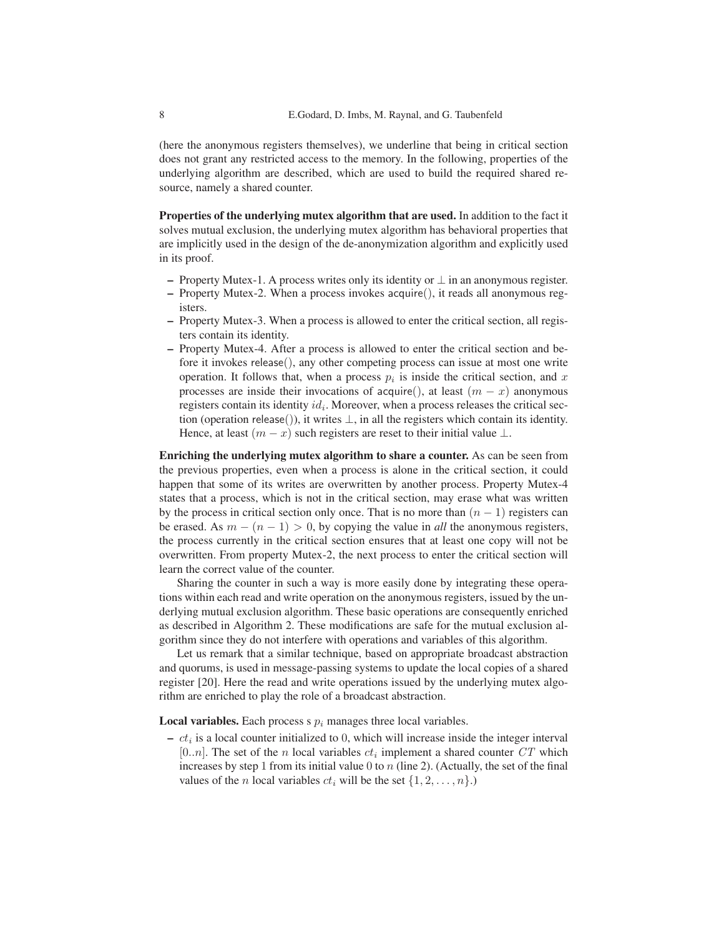(here the anonymous registers themselves), we underline that being in critical section does not grant any restricted access to the memory. In the following, properties of the underlying algorithm are described, which are used to build the required shared resource, namely a shared counter.

Properties of the underlying mutex algorithm that are used. In addition to the fact it solves mutual exclusion, the underlying mutex algorithm has behavioral properties that are implicitly used in the design of the de-anonymization algorithm and explicitly used in its proof.

- Property Mutex-1. A process writes only its identity or  $\perp$  in an anonymous register.
- Property Mutex-2. When a process invokes acquire(), it reads all anonymous registers.
- Property Mutex-3. When a process is allowed to enter the critical section, all registers contain its identity.
- Property Mutex-4. After a process is allowed to enter the critical section and before it invokes release(), any other competing process can issue at most one write operation. It follows that, when a process  $p_i$  is inside the critical section, and x processes are inside their invocations of acquire(), at least  $(m - x)$  anonymous registers contain its identity  $id_i$ . Moreover, when a process releases the critical section (operation release()), it writes  $\perp$ , in all the registers which contain its identity. Hence, at least  $(m - x)$  such registers are reset to their initial value  $\perp$ .

Enriching the underlying mutex algorithm to share a counter. As can be seen from the previous properties, even when a process is alone in the critical section, it could happen that some of its writes are overwritten by another process. Property Mutex-4 states that a process, which is not in the critical section, may erase what was written by the process in critical section only once. That is no more than  $(n - 1)$  registers can be erased. As  $m - (n - 1) > 0$ , by copying the value in *all* the anonymous registers, the process currently in the critical section ensures that at least one copy will not be overwritten. From property Mutex-2, the next process to enter the critical section will learn the correct value of the counter.

Sharing the counter in such a way is more easily done by integrating these operations within each read and write operation on the anonymous registers, issued by the underlying mutual exclusion algorithm. These basic operations are consequently enriched as described in Algorithm 2. These modifications are safe for the mutual exclusion algorithm since they do not interfere with operations and variables of this algorithm.

Let us remark that a similar technique, based on appropriate broadcast abstraction and quorums, is used in message-passing systems to update the local copies of a shared register [20]. Here the read and write operations issued by the underlying mutex algorithm are enriched to play the role of a broadcast abstraction.

**Local variables.** Each process s  $p_i$  manages three local variables.

 $-ct_i$  is a local counter initialized to 0, which will increase inside the integer interval [0..*n*]. The set of the *n* local variables  $ct_i$  implement a shared counter  $CT$  which increases by step 1 from its initial value 0 to  $n$  (line 2). (Actually, the set of the final values of the *n* local variables  $ct_i$  will be the set  $\{1, 2, \ldots, n\}$ .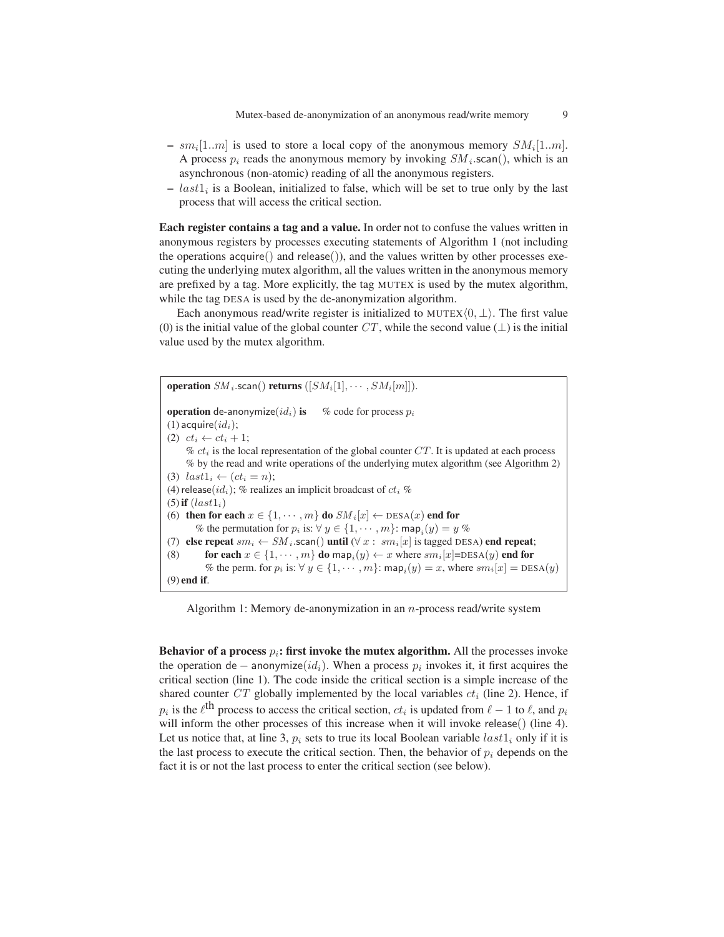- $sm_i[1..m]$  is used to store a local copy of the anonymous memory  $SM_i[1..m]$ . A process  $p_i$  reads the anonymous memory by invoking  $SM_i$  scan(), which is an asynchronous (non-atomic) reading of all the anonymous registers.
- $-$  last  $1<sub>i</sub>$  is a Boolean, initialized to false, which will be set to true only by the last process that will access the critical section.

Each register contains a tag and a value. In order not to confuse the values written in anonymous registers by processes executing statements of Algorithm 1 (not including the operations acquire() and release()), and the values written by other processes executing the underlying mutex algorithm, all the values written in the anonymous memory are prefixed by a tag. More explicitly, the tag MUTEX is used by the mutex algorithm, while the tag DESA is used by the de-anonymization algorithm.

Each anonymous read/write register is initialized to MUTEX $\langle 0, \perp \rangle$ . The first value (0) is the initial value of the global counter  $CT$ , while the second value ( $\perp$ ) is the initial value used by the mutex algorithm.

operation  $SM_i$ .scan() returns  $([SM_i[1], \cdots, SM_i[m]])$ . **operation** de-anonymize(id<sub>i</sub>) is % code for process  $p_i$ (1) acquire $(id_i)$ ; (2)  $ct_i \leftarrow ct_i + 1$ ;  $\%$  ct<sub>i</sub> is the local representation of the global counter CT. It is updated at each process % by the read and write operations of the underlying mutex algorithm (see Algorithm 2) (3)  $last1_i \leftarrow (ct_i = n);$ (4) release(id<sub>i</sub>); % realizes an implicit broadcast of  $ct_i$  %  $(5)$  if  $(last1<sub>i</sub>)$ (6) then for each  $x \in \{1, \dots, m\}$  do  $SM_i[x] \leftarrow \text{DESA}(x)$  end for % the permutation for  $p_i$  is:  $\forall y \in \{1, \dots, m\}$ : ma $\mathsf{p}_i(y) = y$  % (7) else repeat  $sm_i \leftarrow SM_i$ .scan $()$  until  $(\forall x : sm_i[x]$  is tagged DESA) end repeat; (8) for each  $x \in \{1, \dots, m\}$  do map<sub>i</sub> $(y) \leftarrow x$  where  $sm_i[x] = \text{DESA}(y)$  end for % the perm. for  $p_i$  is:  $\forall y \in \{1, \dots, m\}$ : map $_i(y) = x$ , where  $sm_i[x] = \text{DESA}(y)$ (9) end if.

Algorithm 1: Memory de-anonymization in an  $n$ -process read/write system

Behavior of a process  $p_i$ : first invoke the mutex algorithm. All the processes invoke the operation de – anonymize $(id_i)$ . When a process  $p_i$  invokes it, it first acquires the critical section (line 1). The code inside the critical section is a simple increase of the shared counter  $CT$  globally implemented by the local variables  $ct_i$  (line 2). Hence, if  $p_i$  is the  $\ell^{\text{th}}$  process to access the critical section,  $ct_i$  is updated from  $\ell - 1$  to  $\ell$ , and  $p_i$ will inform the other processes of this increase when it will invoke release() (line 4). Let us notice that, at line 3,  $p_i$  sets to true its local Boolean variable  $last1_i$  only if it is the last process to execute the critical section. Then, the behavior of  $p_i$  depends on the fact it is or not the last process to enter the critical section (see below).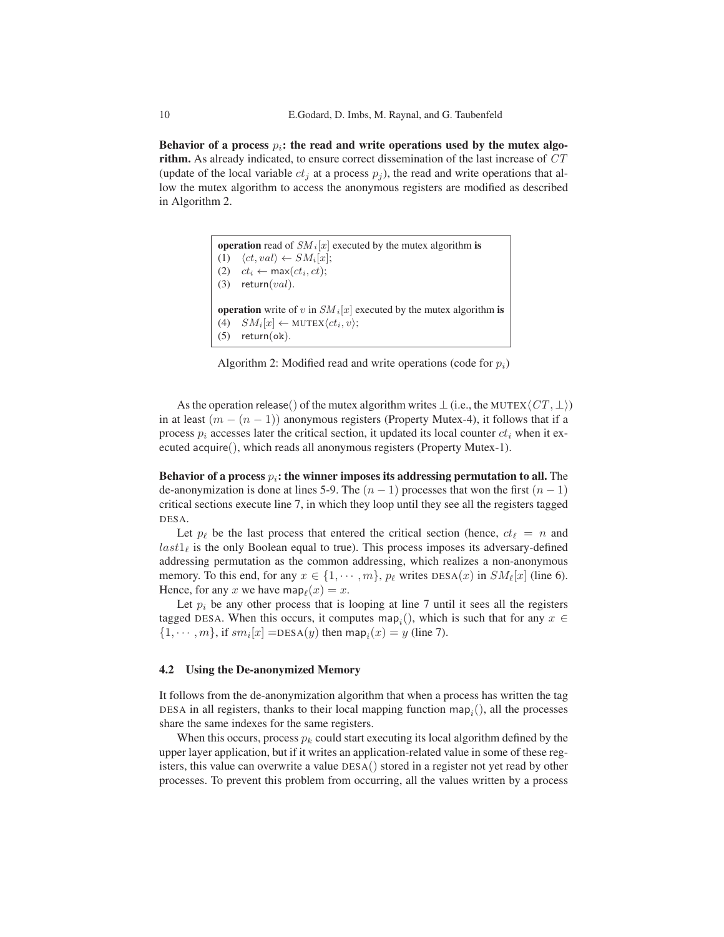Behavior of a process  $p_i$ : the read and write operations used by the mutex algorithm. As already indicated, to ensure correct dissemination of the last increase of CT (update of the local variable  $ct_i$  at a process  $p_i$ ), the read and write operations that allow the mutex algorithm to access the anonymous registers are modified as described in Algorithm 2.

```
operation read of SM_i[x] executed by the mutex algorithm is
(1) \langle ct, val \rangle \leftarrow SM_i[x];(2) ct_i \leftarrow max(ct_i, ct);(3) return(val).
operation write of v in SM_i[x] executed by the mutex algorithm is
(4) SM_i[x] \leftarrow \text{MUTEX}\langle ct_i, v \rangle;(5) return(ok).
```
Algorithm 2: Modified read and write operations (code for  $p_i$ )

As the operation release() of the mutex algorithm writes  $\perp$  (i.e., the MUTEX $\langle CT, \perp \rangle$ ) in at least  $(m - (n - 1))$  anonymous registers (Property Mutex-4), it follows that if a process  $p_i$  accesses later the critical section, it updated its local counter  $ct_i$  when it executed acquire(), which reads all anonymous registers (Property Mutex-1).

Behavior of a process  $p_i$ : the winner imposes its addressing permutation to all. The de-anonymization is done at lines 5-9. The  $(n - 1)$  processes that won the first  $(n - 1)$ critical sections execute line 7, in which they loop until they see all the registers tagged DESA.

Let  $p_\ell$  be the last process that entered the critical section (hence,  $ct_\ell = n$  and  $last1<sub>\ell</sub>$  is the only Boolean equal to true). This process imposes its adversary-defined addressing permutation as the common addressing, which realizes a non-anonymous memory. To this end, for any  $x \in \{1, \dots, m\}$ ,  $p_\ell$  writes  $\text{DESA}(x)$  in  $SM_\ell[x]$  (line 6). Hence, for any x we have map $\ell(x) = x$ .

Let  $p_i$  be any other process that is looping at line 7 until it sees all the registers tagged DESA. When this occurs, it computes map<sub>i</sub>(), which is such that for any  $x \in$  $\{1, \dots, m\}$ , if  $sm_i[x] = \text{DESA}(y)$  then map $_i(x) = y$  (line 7).

#### 4.2 Using the De-anonymized Memory

It follows from the de-anonymization algorithm that when a process has written the tag DESA in all registers, thanks to their local mapping function  $\text{map}_i()$ , all the processes share the same indexes for the same registers.

When this occurs, process  $p_k$  could start executing its local algorithm defined by the upper layer application, but if it writes an application-related value in some of these registers, this value can overwrite a value DESA() stored in a register not yet read by other processes. To prevent this problem from occurring, all the values written by a process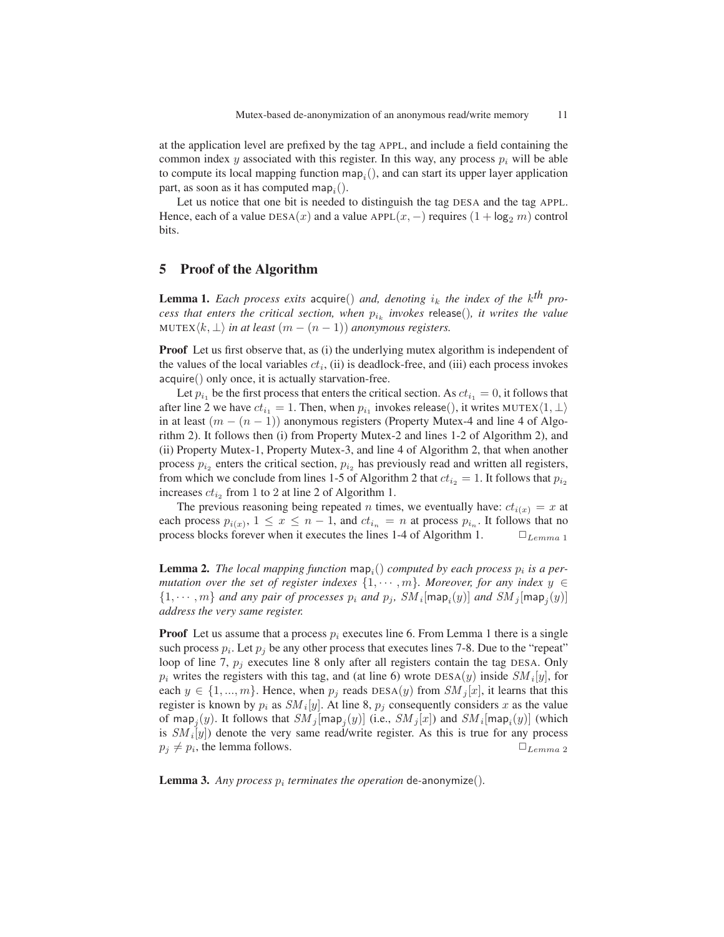at the application level are prefixed by the tag APPL, and include a field containing the common index y associated with this register. In this way, any process  $p_i$  will be able to compute its local mapping function  $\text{map}_i()$ , and can start its upper layer application part, as soon as it has computed map<sub>i</sub> $()$ .

Let us notice that one bit is needed to distinguish the tag DESA and the tag APPL. Hence, each of a value DESA(x) and a value APPL(x, –) requires  $(1 + \log_2 m)$  control bits.

# 5 Proof of the Algorithm

**Lemma 1.** Each process exits acquire() and, denoting  $i_k$  the index of the  $k^{th}$  pro- $\cos$  that enters the critical section, when  $p_{i_k}$  invokes release(), it writes the value MUTEX $\langle k, \perp \rangle$  *in at least*  $(m - (n - 1))$  *anonymous registers.* 

**Proof** Let us first observe that, as (i) the underlying mutex algorithm is independent of the values of the local variables  $ct_i$ , (ii) is deadlock-free, and (iii) each process invokes acquire() only once, it is actually starvation-free.

Let  $p_{i_1}$  be the first process that enters the critical section. As  $ct_{i_1} = 0$ , it follows that after line 2 we have  $ct_{i_1} = 1$ . Then, when  $p_{i_1}$  invokes release(), it writes MUTEX $\langle 1, \perp \rangle$ in at least  $(m - (n - 1))$  anonymous registers (Property Mutex-4 and line 4 of Algorithm 2). It follows then (i) from Property Mutex-2 and lines 1-2 of Algorithm 2), and (ii) Property Mutex-1, Property Mutex-3, and line 4 of Algorithm 2, that when another process  $p_{i_2}$  enters the critical section,  $p_{i_2}$  has previously read and written all registers, from which we conclude from lines 1-5 of Algorithm 2 that  $ct_{i_2} = 1$ . It follows that  $p_{i_2}$ increases  $ct_{i_2}$  from 1 to 2 at line 2 of Algorithm 1.

The previous reasoning being repeated *n* times, we eventually have:  $ct_{i(x)} = x$  at each process  $p_{i(x)}$ ,  $1 \le x \le n-1$ , and  $ct_{i_n} = n$  at process  $p_{i_n}$ . It follows that no process blocks forever when it executes the lines 1-4 of Algorithm 1.  $\square_{Lemma \, 1}$ 

**Lemma 2.** The local mapping function  $\text{map}_i()$  computed by each process  $p_i$  is a per*mutation over the set of register indexes*  $\{1, \dots, m\}$ *. Moreover, for any index*  $y \in$  $\{1, \dots, m\}$  and any pair of processes  $p_i$  and  $p_j$ ,  $\tilde{SM}_i$ [map<sub>i</sub>(y)] and  $\tilde{SM}_j$ [map<sub>j</sub>(y)] *address the very same register.*

**Proof** Let us assume that a process  $p_i$  executes line 6. From Lemma 1 there is a single such process  $p_i$ . Let  $p_j$  be any other process that executes lines 7-8. Due to the "repeat" loop of line 7,  $p_j$  executes line 8 only after all registers contain the tag DESA. Only  $p_i$  writes the registers with this tag, and (at line 6) wrote DESA(y) inside  $SM_i[y]$ , for each  $y \in \{1, ..., m\}$ . Hence, when  $p_i$  reads DESA(y) from  $SM<sub>i</sub>[x]$ , it learns that this register is known by  $p_i$  as  $SM_i[y]$ . At line 8,  $p_j$  consequently considers x as the value of map<sub>j</sub> $(y)$ . It follows that  $SM_j$ [map<sub>j</sub> $(y)$ ] (i.e.,  $SM_j[x]$ ) and  $SM_i$ [map<sub>i</sub> $(y)$ ] (which is  $SM_i[y]$ ) denote the very same read/write register. As this is true for any process  $p_j \neq p_i$ , the lemma follows.  $\Box$ 

**Lemma 3.** Any process  $p_i$  terminates the operation de-anonymize().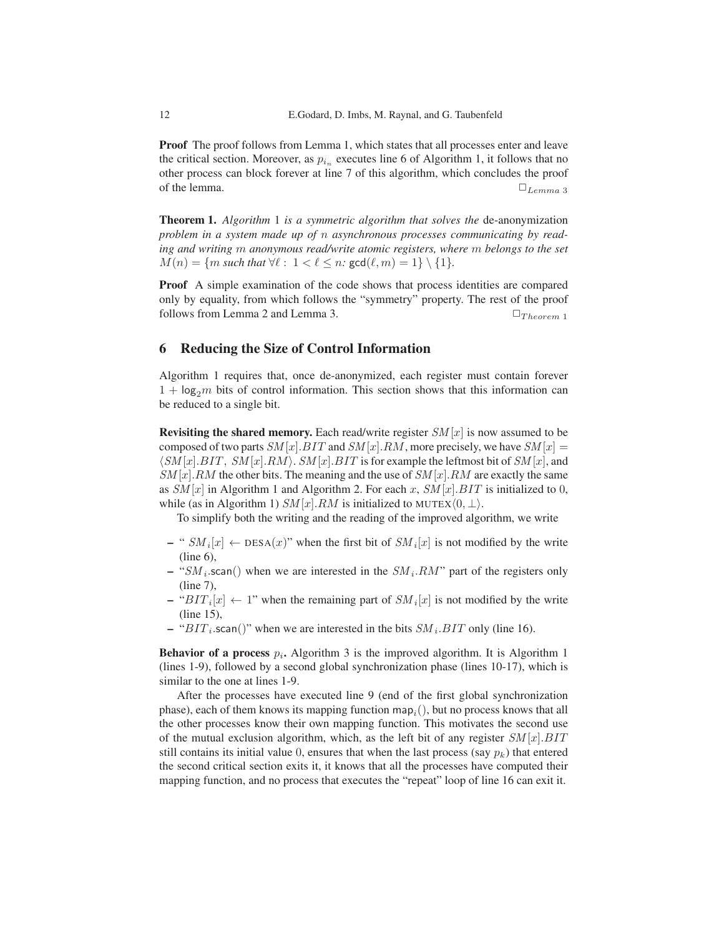**Proof** The proof follows from Lemma 1, which states that all processes enter and leave the critical section. Moreover, as  $p_{i_n}$  executes line 6 of Algorithm 1, it follows that no other process can block forever at line 7 of this algorithm, which concludes the proof of the lemma.  $\Box$ <sub>Lemma 3</sub>

Theorem 1. *Algorithm* 1 *is a symmetric algorithm that solves the* de-anonymization *problem in a system made up of* n *asynchronous processes communicating by reading and writing* m *anonymous read/write atomic registers, where* m *belongs to the set*  $M(n) = \{m \text{ such that } \forall \ell : 1 < \ell \leq n : \gcd(\ell, m) = 1\} \setminus \{1\}.$ 

Proof A simple examination of the code shows that process identities are compared only by equality, from which follows the "symmetry" property. The rest of the proof follows from Lemma 2 and Lemma 3.  $\Box_{Theorem 1}$ 

## 6 Reducing the Size of Control Information

Algorithm 1 requires that, once de-anonymized, each register must contain forever  $1 + \log_2 m$  bits of control information. This section shows that this information can be reduced to a single bit.

Revisiting the shared memory. Each read/write register  $SM[x]$  is now assumed to be composed of two parts  $SM[x]$ . BIT and  $SM[x]$ . RM, more precisely, we have  $SM[x]$  =  $\langle SM[x], BIT, SM[x], RM \rangle$ .  $SM[x], BIT$  is for example the leftmost bit of  $SM[x]$ , and  $SM[x].RM$  the other bits. The meaning and the use of  $SM[x].RM$  are exactly the same as  $SM[x]$  in Algorithm 1 and Algorithm 2. For each x,  $SM[x]$ . BIT is initialized to 0, while (as in Algorithm 1)  $SM[x]$ . RM is initialized to MUTEX $\langle 0, \perp \rangle$ .

To simplify both the writing and the reading of the improved algorithm, we write

- $-$  "  $SM_i[x] \leftarrow \text{DESA}(x)$ " when the first bit of  $SM_i[x]$  is not modified by the write (line 6),
- " $SM_i$  scan() when we are interested in the  $SM_i$  RM" part of the registers only (line 7),
- $-$  " $BIT_i[x] \leftarrow 1$ " when the remaining part of  $SM_i[x]$  is not modified by the write (line 15),
- " $BIT_i$  scan()" when we are interested in the bits  $SM_i$ .  $BIT$  only (line 16).

**Behavior of a process**  $p_i$ . Algorithm 3 is the improved algorithm. It is Algorithm 1 (lines 1-9), followed by a second global synchronization phase (lines 10-17), which is similar to the one at lines 1-9.

After the processes have executed line 9 (end of the first global synchronization phase), each of them knows its mapping function  $\text{map}_i()$ , but no process knows that all the other processes know their own mapping function. This motivates the second use of the mutual exclusion algorithm, which, as the left bit of any register  $SM[x]$ . BIT still contains its initial value 0, ensures that when the last process (say  $p_k$ ) that entered the second critical section exits it, it knows that all the processes have computed their mapping function, and no process that executes the "repeat" loop of line 16 can exit it.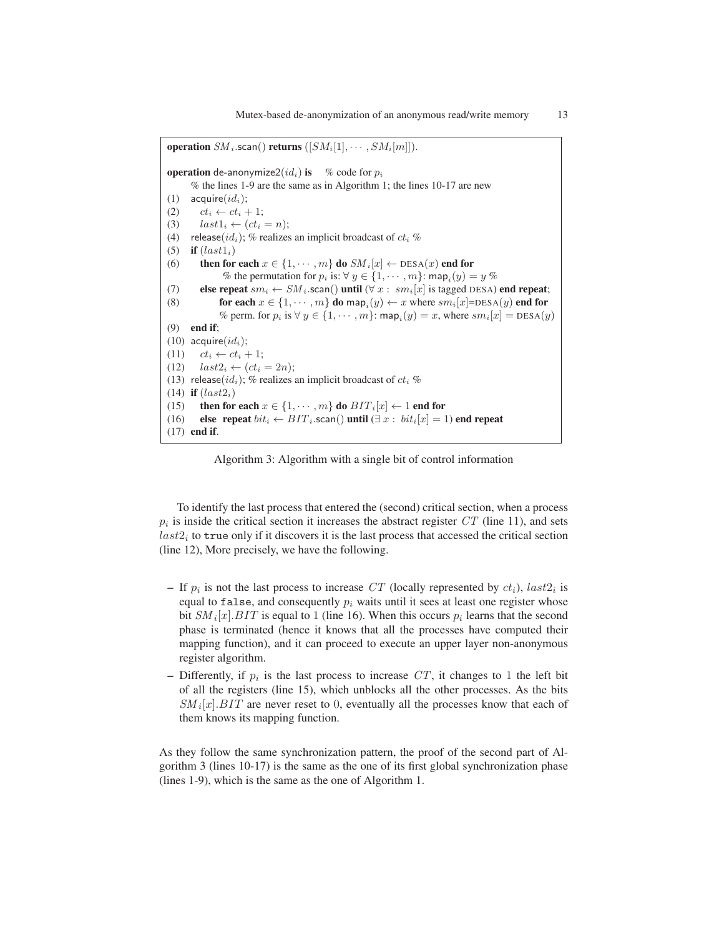operation  $SM_i$ .scan() returns ([ $SM_i$ [1],  $\cdots$ ,  $SM_i[m]]$ ). **operation** de-anonymize2(id<sub>i</sub>) is % code for  $p_i$ % the lines 1-9 are the same as in Algorithm 1; the lines 10-17 are new (1) acquire $(id_i)$ ; (2)  $ct_i \leftarrow ct_i + 1;$ (3)  $last1_i \leftarrow (ct_i = n);$ (4) release(id<sub>i</sub>); % realizes an implicit broadcast of  $ct_i$  % (5) if  $$last1_i$ )$ (6) then for each  $x \in \{1, \dots, m\}$  do  $SM_i[x] \leftarrow \text{DESA}(x)$  end for % the permutation for  $p_i$  is:  $\forall y \in \{1, \dots, m\}$ : map $_i(y) = y$  % (7) else repeat  $sm_i \leftarrow SM_i$ .scan() until  $(\forall x : sm_i[x]$  is tagged DESA) end repeat; (8) **for each**  $x \in \{1, \dots, m\}$  **do** map<sub>i</sub> $(y) \leftarrow x$  where  $sm_i[x] = \text{DESA}(y)$  **end for** % perm. for  $p_i$  is  $\forall y \in \{1, \dots, m\}$ : map $_i(y) = x$ , where  $sm_i[x] = \text{DESA}(y)$ (9) end if; (10) acquire $(id_i)$ ; (11)  $ct_i \leftarrow ct_i + 1;$ (12)  $last2_i \leftarrow (ct_i = 2n);$ (13) release( $id_i$ ); % realizes an implicit broadcast of  $ct_i$  %  $(14)$  if  $$$last2_i$ )$$ (15) then for each  $x \in \{1, \dots, m\}$  do  $BIT_i[x] \leftarrow 1$  end for (16) else repeat  $bit_i \leftarrow BIT_i$ . scan() until  $(\exists x : bit_i[x] = 1)$  end repeat (17) end if.

Algorithm 3: Algorithm with a single bit of control information

To identify the last process that entered the (second) critical section, when a process  $p_i$  is inside the critical section it increases the abstract register  $CT$  (line 11), and sets  $last2<sub>i</sub>$  to true only if it discovers it is the last process that accessed the critical section (line 12), More precisely, we have the following.

- If  $p_i$  is not the last process to increase CT (locally represented by  $ct_i$ ),  $last2_i$  is equal to false, and consequently  $p_i$  waits until it sees at least one register whose bit  $SM_i[x].BIT$  is equal to 1 (line 16). When this occurs  $p_i$  learns that the second phase is terminated (hence it knows that all the processes have computed their mapping function), and it can proceed to execute an upper layer non-anonymous register algorithm.
- Differently, if  $p_i$  is the last process to increase  $CT$ , it changes to 1 the left bit of all the registers (line 15), which unblocks all the other processes. As the bits  $SM_i[x].BIT$  are never reset to 0, eventually all the processes know that each of them knows its mapping function.

As they follow the same synchronization pattern, the proof of the second part of Algorithm 3 (lines 10-17) is the same as the one of its first global synchronization phase (lines 1-9), which is the same as the one of Algorithm 1.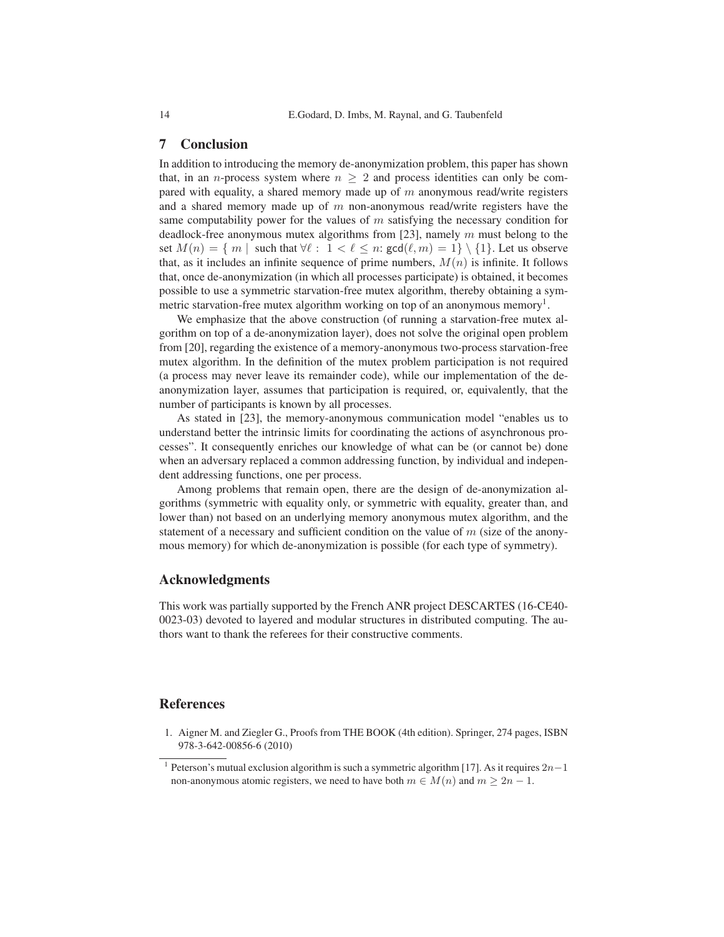## 7 Conclusion

In addition to introducing the memory de-anonymization problem, this paper has shown that, in an *n*-process system where  $n \geq 2$  and process identities can only be compared with equality, a shared memory made up of  $m$  anonymous read/write registers and a shared memory made up of  $m$  non-anonymous read/write registers have the same computability power for the values of  $m$  satisfying the necessary condition for deadlock-free anonymous mutex algorithms from [23], namely  $m$  must belong to the set  $M(n) = \{ m \mid \text{such that } \forall \ell : 1 < \ell \leq n : \text{gcd}(\ell, m) = 1 \} \setminus \{1\}.$  Let us observe that, as it includes an infinite sequence of prime numbers,  $M(n)$  is infinite. It follows that, once de-anonymization (in which all processes participate) is obtained, it becomes possible to use a symmetric starvation-free mutex algorithm, thereby obtaining a symmetric starvation-free mutex algorithm working on top of an anonymous memory<sup>1</sup>.

We emphasize that the above construction (of running a starvation-free mutex algorithm on top of a de-anonymization layer), does not solve the original open problem from [20], regarding the existence of a memory-anonymous two-process starvation-free mutex algorithm. In the definition of the mutex problem participation is not required (a process may never leave its remainder code), while our implementation of the deanonymization layer, assumes that participation is required, or, equivalently, that the number of participants is known by all processes.

As stated in [23], the memory-anonymous communication model "enables us to understand better the intrinsic limits for coordinating the actions of asynchronous processes". It consequently enriches our knowledge of what can be (or cannot be) done when an adversary replaced a common addressing function, by individual and independent addressing functions, one per process.

Among problems that remain open, there are the design of de-anonymization algorithms (symmetric with equality only, or symmetric with equality, greater than, and lower than) not based on an underlying memory anonymous mutex algorithm, and the statement of a necessary and sufficient condition on the value of  $m$  (size of the anonymous memory) for which de-anonymization is possible (for each type of symmetry).

## Acknowledgments

This work was partially supported by the French ANR project DESCARTES (16-CE40- 0023-03) devoted to layered and modular structures in distributed computing. The authors want to thank the referees for their constructive comments.

# References

1. Aigner M. and Ziegler G., Proofs from THE BOOK (4th edition). Springer, 274 pages, ISBN 978-3-642-00856-6 (2010)

<sup>&</sup>lt;sup>1</sup> Peterson's mutual exclusion algorithm is such a symmetric algorithm [17]. As it requires  $2n-1$ non-anonymous atomic registers, we need to have both  $m \in M(n)$  and  $m \geq 2n - 1$ .